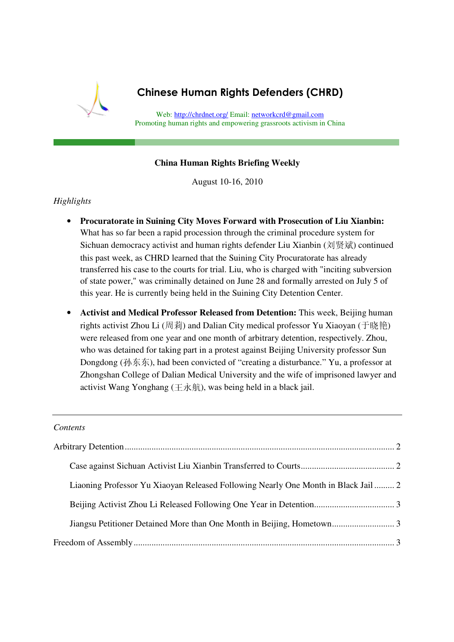

# Chinese Human Rights Defenders (CHRD)

Web: http://chrdnet.org/ Email: networkcrd@gmail.com Promoting human rights and empowering grassroots activism in China

#### **China Human Rights Briefing Weekly**

August 10-16, 2010

# *Highlights*

- **Procuratorate in Suining City Moves Forward with Prosecution of Liu Xianbin:**  What has so far been a rapid procession through the criminal procedure system for Sichuan democracy activist and human rights defender Liu Xianbin (刘贤斌) continued this past week, as CHRD learned that the Suining City Procuratorate has already transferred his case to the courts for trial. Liu, who is charged with "inciting subversion of state power," was criminally detained on June 28 and formally arrested on July 5 of this year. He is currently being held in the Suining City Detention Center.
- **Activist and Medical Professor Released from Detention:** This week, Beijing human rights activist Zhou Li (周莉) and Dalian City medical professor Yu Xiaoyan (于晓艳) were released from one year and one month of arbitrary detention, respectively. Zhou, who was detained for taking part in a protest against Beijing University professor Sun Dongdong (孙东东), had been convicted of "creating a disturbance." Yu, a professor at Zhongshan College of Dalian Medical University and the wife of imprisoned lawyer and activist Wang Yonghang (王永航), was being held in a black jail.

#### *Contents*

| Liaoning Professor Yu Xiaoyan Released Following Nearly One Month in Black Jail 2 |  |
|-----------------------------------------------------------------------------------|--|
|                                                                                   |  |
|                                                                                   |  |
|                                                                                   |  |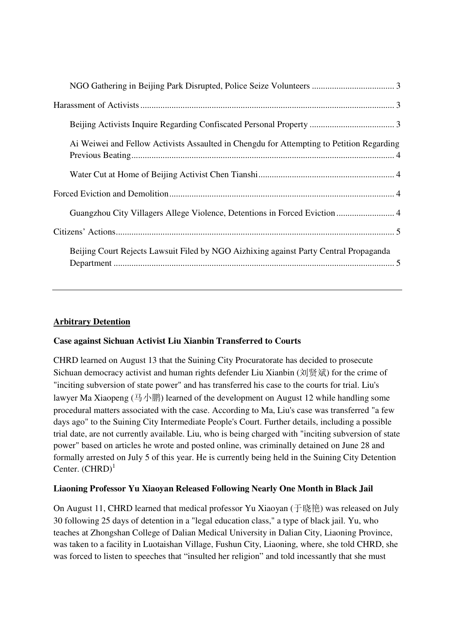| Ai Weiwei and Fellow Activists Assaulted in Chengdu for Attempting to Petition Regarding |
|------------------------------------------------------------------------------------------|
|                                                                                          |
|                                                                                          |
| Guangzhou City Villagers Allege Violence, Detentions in Forced Eviction  4               |
|                                                                                          |
| Beijing Court Rejects Lawsuit Filed by NGO Aizhixing against Party Central Propaganda    |

# **Arbitrary Detention**

## **Case against Sichuan Activist Liu Xianbin Transferred to Courts**

CHRD learned on August 13 that the Suining City Procuratorate has decided to prosecute Sichuan democracy activist and human rights defender Liu Xianbin (刘贤斌) for the crime of "inciting subversion of state power" and has transferred his case to the courts for trial. Liu's lawyer Ma Xiaopeng (马小鹏) learned of the development on August 12 while handling some procedural matters associated with the case. According to Ma, Liu's case was transferred "a few days ago" to the Suining City Intermediate People's Court. Further details, including a possible trial date, are not currently available. Liu, who is being charged with "inciting subversion of state power" based on articles he wrote and posted online, was criminally detained on June 28 and formally arrested on July 5 of this year. He is currently being held in the Suining City Detention Center.  $(CHRD)^1$ 

# **Liaoning Professor Yu Xiaoyan Released Following Nearly One Month in Black Jail**

On August 11, CHRD learned that medical professor Yu Xiaoyan (于晓艳) was released on July 30 following 25 days of detention in a "legal education class," a type of black jail. Yu, who teaches at Zhongshan College of Dalian Medical University in Dalian City, Liaoning Province, was taken to a facility in Luotaishan Village, Fushun City, Liaoning, where, she told CHRD, she was forced to listen to speeches that "insulted her religion" and told incessantly that she must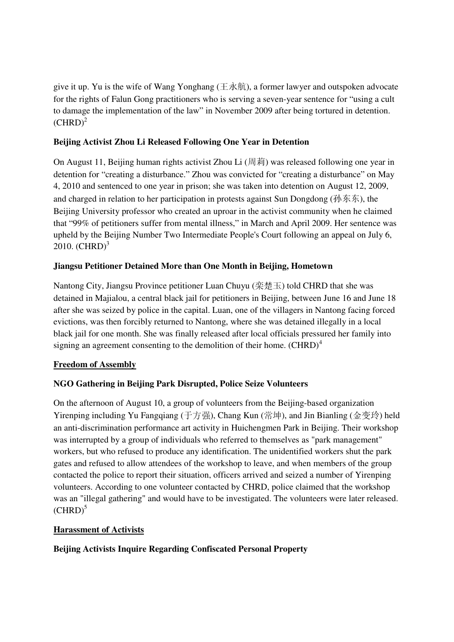give it up. Yu is the wife of Wang Yonghang ( $\pm \dot{\pi}$ ), a former lawyer and outspoken advocate for the rights of Falun Gong practitioners who is serving a seven-year sentence for "using a cult to damage the implementation of the law" in November 2009 after being tortured in detention.  $(CHRD)^2$ 

## **Beijing Activist Zhou Li Released Following One Year in Detention**

On August 11, Beijing human rights activist Zhou Li (周莉) was released following one year in detention for "creating a disturbance." Zhou was convicted for "creating a disturbance" on May 4, 2010 and sentenced to one year in prison; she was taken into detention on August 12, 2009, and charged in relation to her participation in protests against Sun Dongdong (孙东东), the Beijing University professor who created an uproar in the activist community when he claimed that "99% of petitioners suffer from mental illness," in March and April 2009. Her sentence was upheld by the Beijing Number Two Intermediate People's Court following an appeal on July 6,  $2010.$  (CHRD)<sup>3</sup>

#### **Jiangsu Petitioner Detained More than One Month in Beijing, Hometown**

Nantong City, Jiangsu Province petitioner Luan Chuyu (栾楚玉) told CHRD that she was detained in Majialou, a central black jail for petitioners in Beijing, between June 16 and June 18 after she was seized by police in the capital. Luan, one of the villagers in Nantong facing forced evictions, was then forcibly returned to Nantong, where she was detained illegally in a local black jail for one month. She was finally released after local officials pressured her family into signing an agreement consenting to the demolition of their home.  $(CHRD)^4$ 

## **Freedom of Assembly**

## **NGO Gathering in Beijing Park Disrupted, Police Seize Volunteers**

On the afternoon of August 10, a group of volunteers from the Beijing-based organization Yirenping including Yu Fangqiang (于方强), Chang Kun (常坤), and Jin Bianling (金变玲) held an anti-discrimination performance art activity in Huichengmen Park in Beijing. Their workshop was interrupted by a group of individuals who referred to themselves as "park management" workers, but who refused to produce any identification. The unidentified workers shut the park gates and refused to allow attendees of the workshop to leave, and when members of the group contacted the police to report their situation, officers arrived and seized a number of Yirenping volunteers. According to one volunteer contacted by CHRD, police claimed that the workshop was an "illegal gathering" and would have to be investigated. The volunteers were later released.  $(CHRD)^5$ 

#### **Harassment of Activists**

**Beijing Activists Inquire Regarding Confiscated Personal Property**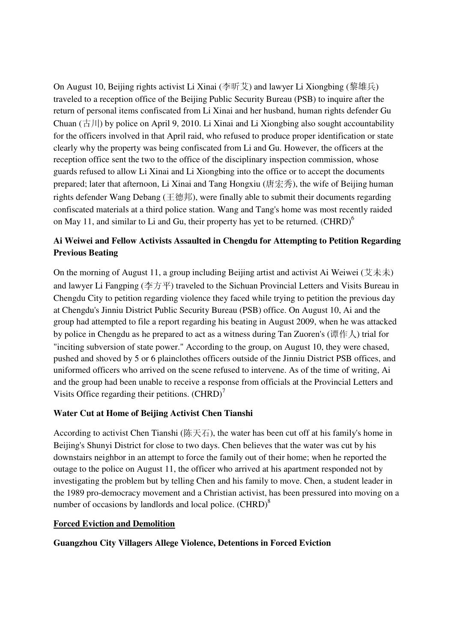On August 10, Beijing rights activist Li Xinai (李昕艾) and lawyer Li Xiongbing (黎雄兵) traveled to a reception office of the Beijing Public Security Bureau (PSB) to inquire after the return of personal items confiscated from Li Xinai and her husband, human rights defender Gu Chuan  $(\pm \, ||)$  by police on April 9, 2010. Li Xinai and Li Xiongbing also sought accountability for the officers involved in that April raid, who refused to produce proper identification or state clearly why the property was being confiscated from Li and Gu. However, the officers at the reception office sent the two to the office of the disciplinary inspection commission, whose guards refused to allow Li Xinai and Li Xiongbing into the office or to accept the documents prepared; later that afternoon, Li Xinai and Tang Hongxiu (唐宏秀), the wife of Beijing human rights defender Wang Debang (王德邦), were finally able to submit their documents regarding confiscated materials at a third police station. Wang and Tang's home was most recently raided on May 11, and similar to Li and Gu, their property has yet to be returned. (CHRD)<sup>6</sup>

# **Ai Weiwei and Fellow Activists Assaulted in Chengdu for Attempting to Petition Regarding Previous Beating**

On the morning of August 11, a group including Beijing artist and activist Ai Weiwei ( $\overrightarrow{\mathcal{X}}$ ) and lawyer Li Fangping (李方平) traveled to the Sichuan Provincial Letters and Visits Bureau in Chengdu City to petition regarding violence they faced while trying to petition the previous day at Chengdu's Jinniu District Public Security Bureau (PSB) office. On August 10, Ai and the group had attempted to file a report regarding his beating in August 2009, when he was attacked by police in Chengdu as he prepared to act as a witness during Tan Zuoren's (谭作人) trial for "inciting subversion of state power." According to the group, on August 10, they were chased, pushed and shoved by 5 or 6 plainclothes officers outside of the Jinniu District PSB offices, and uniformed officers who arrived on the scene refused to intervene. As of the time of writing, Ai and the group had been unable to receive a response from officials at the Provincial Letters and Visits Office regarding their petitions.  $(CHRD)^{7}$ 

## **Water Cut at Home of Beijing Activist Chen Tianshi**

According to activist Chen Tianshi (陈天石), the water has been cut off at his family's home in Beijing's Shunyi District for close to two days. Chen believes that the water was cut by his downstairs neighbor in an attempt to force the family out of their home; when he reported the outage to the police on August 11, the officer who arrived at his apartment responded not by investigating the problem but by telling Chen and his family to move. Chen, a student leader in the 1989 pro-democracy movement and a Christian activist, has been pressured into moving on a number of occasions by landlords and local police. (CHRD)<sup>8</sup>

## **Forced Eviction and Demolition**

**Guangzhou City Villagers Allege Violence, Detentions in Forced Eviction**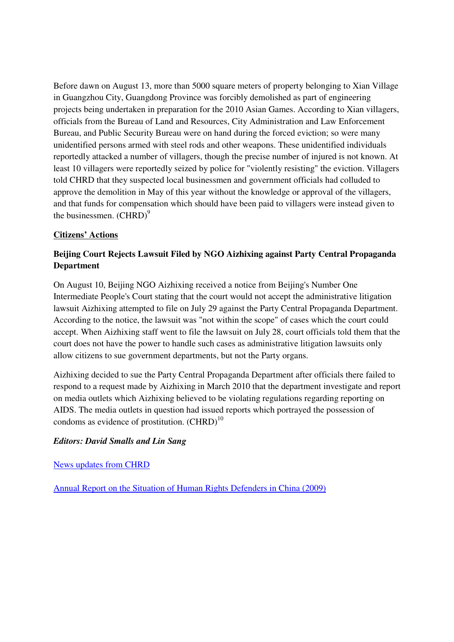Before dawn on August 13, more than 5000 square meters of property belonging to Xian Village in Guangzhou City, Guangdong Province was forcibly demolished as part of engineering projects being undertaken in preparation for the 2010 Asian Games. According to Xian villagers, officials from the Bureau of Land and Resources, City Administration and Law Enforcement Bureau, and Public Security Bureau were on hand during the forced eviction; so were many unidentified persons armed with steel rods and other weapons. These unidentified individuals reportedly attacked a number of villagers, though the precise number of injured is not known. At least 10 villagers were reportedly seized by police for "violently resisting" the eviction. Villagers told CHRD that they suspected local businessmen and government officials had colluded to approve the demolition in May of this year without the knowledge or approval of the villagers, and that funds for compensation which should have been paid to villagers were instead given to the businessmen.  $(CHRD)^9$ 

#### **Citizens' Actions**

# **Beijing Court Rejects Lawsuit Filed by NGO Aizhixing against Party Central Propaganda Department**

On August 10, Beijing NGO Aizhixing received a notice from Beijing's Number One Intermediate People's Court stating that the court would not accept the administrative litigation lawsuit Aizhixing attempted to file on July 29 against the Party Central Propaganda Department. According to the notice, the lawsuit was "not within the scope" of cases which the court could accept. When Aizhixing staff went to file the lawsuit on July 28, court officials told them that the court does not have the power to handle such cases as administrative litigation lawsuits only allow citizens to sue government departments, but not the Party organs.

Aizhixing decided to sue the Party Central Propaganda Department after officials there failed to respond to a request made by Aizhixing in March 2010 that the department investigate and report on media outlets which Aizhixing believed to be violating regulations regarding reporting on AIDS. The media outlets in question had issued reports which portrayed the possession of condoms as evidence of prostitution.  $(CHRD)^{10}$ 

#### *Editors: David Smalls and Lin Sang*

News updates from CHRD

Annual Report on the Situation of Human Rights Defenders in China (2009)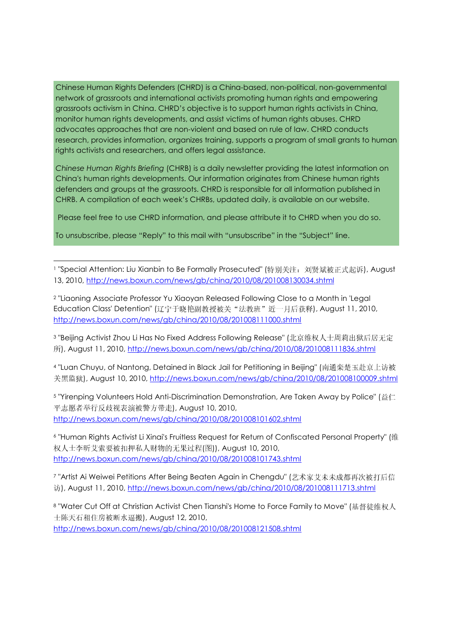Chinese Human Rights Defenders (CHRD) is a China-based, non-political, non-governmental network of grassroots and international activists promoting human rights and empowering grassroots activism in China. CHRD's objective is to support human rights activists in China, monitor human rights developments, and assist victims of human rights abuses. CHRD advocates approaches that are non-violent and based on rule of law. CHRD conducts research, provides information, organizes training, supports a program of small grants to human rights activists and researchers, and offers legal assistance.

Chinese Human Rights Briefing (CHRB) is a daily newsletter providing the latest information on China's human rights developments. Our information originates from Chinese human rights defenders and groups at the grassroots. CHRD is responsible for all information published in CHRB. A compilation of each week's CHRBs, updated daily, is available on our website.

Please feel free to use CHRD information, and please attribute it to CHRD when you do so.

To unsubscribe, please "Reply" to this mail with "unsubscribe" in the "Subject" line.

1

1 "Special Attention: Liu Xianbin to Be Formally Prosecuted" (特别关注: 刘贤斌被正式起诉), August 13, 2010, http://news.boxun.com/news/gb/china/2010/08/201008130034.shtml

<sup>2</sup> "Liaoning Associate Professor Yu Xiaoyan Released Following Close to a Month in 'Legal Education Class' Detention" (辽宁于晓艳副教授被关"法教班"近一月后获释), August 11, 2010, http://news.boxun.com/news/gb/china/2010/08/201008111000.shtml

<sup>3</sup> "Beijing Activist Zhou Li Has No Fixed Address Following Release" (北京维权人士周莉出狱后居无定 所), August 11, 2010, http://news.boxun.com/news/gb/china/2010/08/201008111836.shtml

<sup>4</sup> "Luan Chuyu, of Nantong, Detained in Black Jail for Petitioning in Beijing" (南通栾楚玉赴京上访被 关黑监狱), August 10, 2010, http://news.boxun.com/news/gb/china/2010/08/201008100009.shtml

<sup>5</sup> "Yirenping Volunteers Hold Anti-Discrimination Demonstration, Are Taken Away by Police" (益仁 平志愿者举行反歧视表演被警方带走), August 10, 2010, http://news.boxun.com/news/gb/china/2010/08/201008101602.shtml

<sup>6</sup> "Human Rights Activist Li Xinai's Fruitless Request for Return of Confiscated Personal Property" (维 权人士李昕艾索要被扣押私人财物的无果过程(图)), August 10, 2010, http://news.boxun.com/news/gb/china/2010/08/201008101743.shtml

<sup>7</sup> "Artist Ai Weiwei Petitions After Being Beaten Again in Chengdu" (艺术家艾未未成都再次被打后信 访), August 11, 2010, http://news.boxun.com/news/gb/china/2010/08/201008111713.shtml

<sup>8</sup> "Water Cut Off at Christian Activist Chen Tianshi's Home to Force Family to Move" (基督徒维权人 士陈天石租住房被断水逼搬), August 12, 2010, http://news.boxun.com/news/gb/china/2010/08/201008121508.shtml